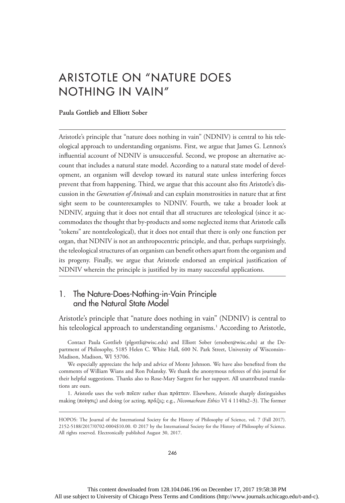# ARISTOTLE ON "NATURE DOES NOTHING IN VAIN"

#### Paula Gottlieb and Elliott Sober

Aristotle's principle that "nature does nothing in vain" (NDNIV) is central to his teleological approach to understanding organisms. First, we argue that James G. Lennox's influential account of NDNIV is unsuccessful. Second, we propose an alternative account that includes a natural state model. According to a natural state model of development, an organism will develop toward its natural state unless interfering forces prevent that from happening. Third, we argue that this account also fits Aristotle's discussion in the Generation of Animals and can explain monstrosities in nature that at first sight seem to be counterexamples to NDNIV. Fourth, we take a broader look at NDNIV, arguing that it does not entail that all structures are teleological (since it accommodates the thought that by-products and some neglected items that Aristotle calls "tokens" are nonteleological), that it does not entail that there is only one function per organ, that NDNIV is not an anthropocentric principle, and that, perhaps surprisingly, the teleological structures of an organism can benefit others apart from the organism and its progeny. Finally, we argue that Aristotle endorsed an empirical justification of NDNIV wherein the principle is justified by its many successful applications.

# 1. The Nature-Does-Nothing-in-Vain Principle and the Natural State Model

Aristotle's principle that "nature does nothing in vain" (NDNIV) is central to his teleological approach to understanding organisms.<sup>1</sup> According to Aristotle,

Contact Paula Gottlieb (plgottli@wisc.edu) and Elliott Sober (ersober@wisc.edu) at the Department of Philosophy, 5185 Helen C. White Hall, 600 N. Park Street, University of Wisconsin– Madison, Madison, WI 53706.

We especially appreciate the help and advice of Monte Johnson. We have also benefited from the comments of William Wians and Ron Polansky. We thank the anonymous referees of this journal for their helpful suggestions. Thanks also to Rose-Mary Sargent for her support. All unattributed translations are ours.

1. Aristotle uses the verb ποῖειν rather than πραˆττειν. Elsewhere, Aristotle sharply distinguishes making (ποίησις) and doing (or acting, πρἄξις; e.g., Nicomachean Ethics VI 4 1140a2–3). The former

HOPOS: The Journal of the International Society for the History of Philosophy of Science, vol. 7 (Fall 2017). 2152-5188/2017/0702-0004\$10.00. © 2017 by the International Society for the History of Philosophy of Science. All rights reserved. Electronically published August 30, 2017.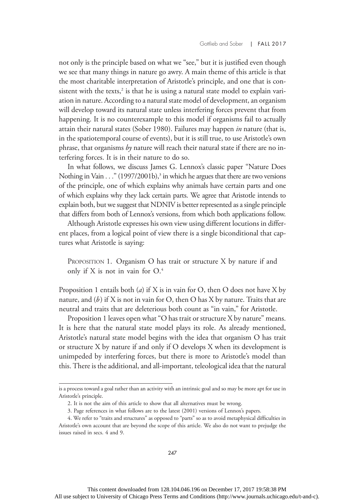not only is the principle based on what we "see," but it is justified even though we see that many things in nature go awry. A main theme of this article is that the most charitable interpretation of Aristotle's principle, and one that is consistent with the texts, $2$  is that he is using a natural state model to explain variation in nature. According to a natural state model of development, an organism will develop toward its natural state unless interfering forces prevent that from happening. It is no counterexample to this model if organisms fail to actually attain their natural states (Sober 1980). Failures may happen in nature (that is, in the spatiotemporal course of events), but it is still true, to use Aristotle's own phrase, that organisms by nature will reach their natural state if there are no interfering forces. It is in their nature to do so.

In what follows, we discuss James G. Lennox's classic paper "Nature Does Nothing in Vain . . ." (1997/2001b),<sup>3</sup> in which he argues that there are two versions of the principle, one of which explains why animals have certain parts and one of which explains why they lack certain parts. We agree that Aristotle intends to explain both, but we suggest that NDNIV is better represented as a single principle that differs from both of Lennox's versions, from which both applications follow.

Although Aristotle expresses his own view using different locutions in different places, from a logical point of view there is a single biconditional that captures what Aristotle is saying:

PROPOSITION 1. Organism O has trait or structure  $X$  by nature if and only if X is not in vain for O.4

Proposition 1 entails both (*a*) if X is in vain for O, then O does not have X by nature, and  $(b)$  if X is not in vain for O, then O has X by nature. Traits that are neutral and traits that are deleterious both count as "in vain," for Aristotle.

Proposition 1 leaves open what "O has trait or structure X by nature" means. It is here that the natural state model plays its role. As already mentioned, Aristotle's natural state model begins with the idea that organism O has trait or structure X by nature if and only if O develops X when its development is unimpeded by interfering forces, but there is more to Aristotle's model than this. There is the additional, and all-important, teleological idea that the natural

is a process toward a goal rather than an activity with an intrinsic goal and so may be more apt for use in Aristotle's principle.

<sup>2.</sup> It is not the aim of this article to show that all alternatives must be wrong.

<sup>3.</sup> Page references in what follows are to the latest (2001) versions of Lennox's papers.

<sup>4.</sup> We refer to "traits and structures" as opposed to "parts" so as to avoid metaphysical difficulties in Aristotle's own account that are beyond the scope of this article. We also do not want to prejudge the issues raised in secs. 4 and 9.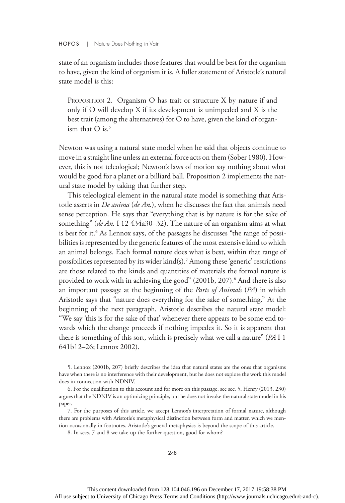state of an organism includes those features that would be best for the organism to have, given the kind of organism it is. A fuller statement of Aristotle's natural state model is this:

PROPOSITION 2. Organism O has trait or structure X by nature if and only if O will develop X if its development is unimpeded and X is the best trait (among the alternatives) for O to have, given the kind of organism that  $O$  is.<sup>5</sup>

Newton was using a natural state model when he said that objects continue to move in a straight line unless an external force acts on them (Sober 1980). However, this is not teleological; Newton's laws of motion say nothing about what would be good for a planet or a billiard ball. Proposition 2 implements the natural state model by taking that further step.

This teleological element in the natural state model is something that Aristotle asserts in  $De \, anima \, (de \, An.)$ , when he discusses the fact that animals need sense perception. He says that "everything that is by nature is for the sake of something" (de An. I 12 434a30–32). The nature of an organism aims at what is best for it.<sup>6</sup> As Lennox says, of the passages he discusses "the range of possibilities is represented by the generic features of the most extensive kind to which an animal belongs. Each formal nature does what is best, within that range of possibilities represented by its wider kind(s).7 Among these'generic' restrictions are those related to the kinds and quantities of materials the formal nature is provided to work with in achieving the good" (2001b, 207).<sup>8</sup> And there is also an important passage at the beginning of the *Parts of Animals* (PA) in which Aristotle says that "nature does everything for the sake of something." At the beginning of the next paragraph, Aristotle describes the natural state model: "We say 'this is for the sake of that' whenever there appears to be some end towards which the change proceeds if nothing impedes it. So it is apparent that there is something of this sort, which is precisely what we call a nature" (PA I 1 641b12–26; Lennox 2002).

5. Lennox (2001b, 207) briefly describes the idea that natural states are the ones that organisms have when there is no interference with their development, but he does not explore the work this model does in connection with NDNIV.

6. For the qualification to this account and for more on this passage, see sec. 5. Henry (2013, 230) argues that the NDNIV is an optimizing principle, but he does not invoke the natural state model in his paper.

7. For the purposes of this article, we accept Lennox's interpretation of formal nature, although there are problems with Aristotle's metaphysical distinction between form and matter, which we mention occasionally in footnotes. Aristotle's general metaphysics is beyond the scope of this article.

8. In secs. 7 and 8 we take up the further question, good for whom?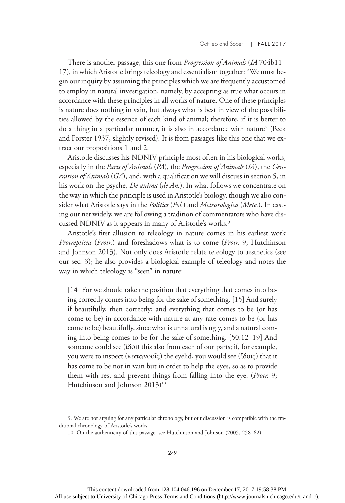There is another passage, this one from *Progression of Animals* (IA 704b11-17), in which Aristotle brings teleology and essentialism together:"We must begin our inquiry by assuming the principles which we are frequently accustomed to employ in natural investigation, namely, by accepting as true what occurs in accordance with these principles in all works of nature. One of these principles is nature does nothing in vain, but always what is best in view of the possibilities allowed by the essence of each kind of animal; therefore, if it is better to do a thing in a particular manner, it is also in accordance with nature" (Peck and Forster 1937, slightly revised). It is from passages like this one that we extract our propositions 1 and 2.

Aristotle discusses his NDNIV principle most often in his biological works, especially in the Parts of Animals (PA), the Progression of Animals (IA), the Gen*eration of Animals* ( $GA$ ), and, with a qualification we will discuss in section 5, in his work on the psyche, *De anima* (de An.). In what follows we concentrate on the way in which the principle is used in Aristotle's biology, though we also consider what Aristotle says in the *Politics* (Pol.) and Meteorologica (Mete.). In casting our net widely, we are following a tradition of commentators who have discussed NDNIV as it appears in many of Aristotle's works.<sup>9</sup>

Aristotle's first allusion to teleology in nature comes in his earliest work Protrepticus (Protr.) and foreshadows what is to come (Protr. 9; Hutchinson and Johnson 2013). Not only does Aristotle relate teleology to aesthetics (see our sec. 3); he also provides a biological example of teleology and notes the way in which teleology is "seen" in nature:

[14] For we should take the position that everything that comes into being correctly comes into being for the sake of something. [15] And surely if beautifully, then correctly; and everything that comes to be (or has come to be) in accordance with nature at any rate comes to be (or has come to be) beautifully, since what is unnatural is ugly, and a natural coming into being comes to be for the sake of something. [50.12–19] And someone could see (ἴδοι) this also from each of our parts; if, for example, you were to inspect (κaτaνοοῖς) the eyelid, you would see (ἴδοις) that it has come to be not in vain but in order to help the eyes, so as to provide them with rest and prevent things from falling into the eye. (Protr. 9; Hutchinson and Johnson 2013)<sup>10</sup>

<sup>9.</sup> We are not arguing for any particular chronology, but our discussion is compatible with the traditional chronology of Aristotle's works.

<sup>10.</sup> On the authenticity of this passage, see Hutchinson and Johnson (2005, 258–62).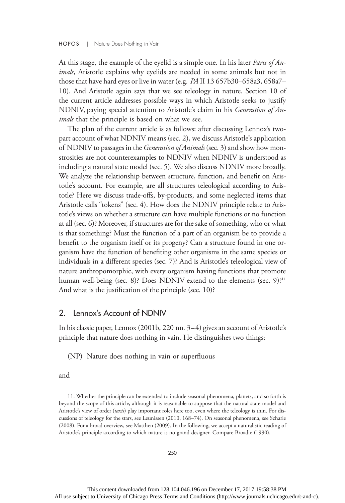At this stage, the example of the eyelid is a simple one. In his later Parts of Animals, Aristotle explains why eyelids are needed in some animals but not in those that have hard eyes or live in water (e.g. PA II 13 657b30–658a3, 658a7– 10). And Aristotle again says that we see teleology in nature. Section 10 of the current article addresses possible ways in which Aristotle seeks to justify NDNIV, paying special attention to Aristotle's claim in his Generation of Animals that the principle is based on what we see.

The plan of the current article is as follows: after discussing Lennox's twopart account of what NDNIV means (sec. 2), we discuss Aristotle's application of NDNIV to passages in the *Generation of Animals* (sec. 3) and show how monstrosities are not counterexamples to NDNIV when NDNIV is understood as including a natural state model (sec. 5). We also discuss NDNIV more broadly. We analyze the relationship between structure, function, and benefit on Aristotle's account. For example, are all structures teleological according to Aristotle? Here we discuss trade-offs, by-products, and some neglected items that Aristotle calls "tokens" (sec. 4). How does the NDNIV principle relate to Aristotle's views on whether a structure can have multiple functions or no function at all (sec. 6)? Moreover, if structures are for the sake of something, who or what is that something? Must the function of a part of an organism be to provide a benefit to the organism itself or its progeny? Can a structure found in one organism have the function of benefiting other organisms in the same species or individuals in a different species (sec. 7)? And is Aristotle's teleological view of nature anthropomorphic, with every organism having functions that promote human well-being (sec. 8)? Does NDNIV extend to the elements (sec. 9)?<sup>11</sup> And what is the justification of the principle (sec. 10)?

### 2. Lennox's Account of NDNIV

In his classic paper, Lennox (2001b, 220 nn. 3–4) gives an account of Aristotle's principle that nature does nothing in vain. He distinguishes two things:

(NP): Nature does nothing in vain or superfluous

and

11. Whether the principle can be extended to include seasonal phenomena, planets, and so forth is beyond the scope of this article, although it is reasonable to suppose that the natural state model and Aristotle's view of order (taxis) play important roles here too, even where the teleology is thin. For discussions of teleology for the stars, see Leunissen (2010, 168–74). On seasonal phenomena, see Scharle (2008). For a broad overview, see Matthen (2009). In the following, we accept a naturalistic reading of Aristotle's principle according to which nature is no grand designer. Compare Broadie (1990).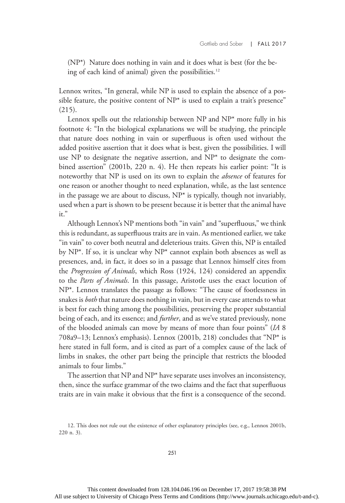$(NP*)$  Nature does nothing in vain and it does what is best (for the being of each kind of animal) given the possibilities.<sup>12</sup>

Lennox writes, "In general, while NP is used to explain the absence of a possible feature, the positive content of NP\* is used to explain a trait's presence" (215).

Lennox spells out the relationship between NP and NP\* more fully in his footnote 4: "In the biological explanations we will be studying, the principle that nature does nothing in vain or superfluous is often used without the added positive assertion that it does what is best, given the possibilities. I will use NP to designate the negative assertion, and NP\* to designate the combined assertion" (2001b, 220 n. 4). He then repeats his earlier point: "It is noteworthy that NP is used on its own to explain the absence of features for one reason or another thought to need explanation, while, as the last sentence in the passage we are about to discuss,  $NP^*$  is typically, though not invariably, used when a part is shown to be present because it is better that the animal have it."

Although Lennox's NP mentions both "in vain" and "superfluous," we think this is redundant, as superfluous traits are in vain. As mentioned earlier, we take "in vain" to cover both neutral and deleterious traits. Given this, NP is entailed by NP\*. If so, it is unclear why NP\* cannot explain both absences as well as presences, and, in fact, it does so in a passage that Lennox himself cites from the Progression of Animals, which Ross (1924, 124) considered an appendix to the Parts of Animals. In this passage, Aristotle uses the exact locution of NP\*. Lennox translates the passage as follows: "The cause of footlessness in snakes is both that nature does nothing in vain, but in every case attends to what is best for each thing among the possibilities, preserving the proper substantial being of each, and its essence; and *further*, and as we've stated previously, none of the blooded animals can move by means of more than four points" (IA 8 708a9–13; Lennox's emphasis). Lennox (2001b, 218) concludes that "NP\* is here stated in full form, and is cited as part of a complex cause of the lack of limbs in snakes, the other part being the principle that restricts the blooded animals to four limbs."

The assertion that NP and NP\* have separate uses involves an inconsistency, then, since the surface grammar of the two claims and the fact that superfluous traits are in vain make it obvious that the first is a consequence of the second.

<sup>12.</sup> This does not rule out the existence of other explanatory principles (see, e.g., Lennox 2001b, 220 n. 3).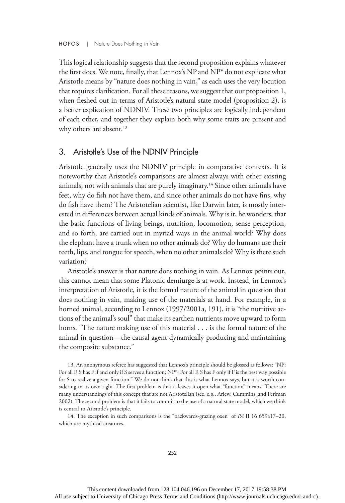This logical relationship suggests that the second proposition explains whatever the first does. We note, finally, that Lennox's NP and NP\* do not explicate what Aristotle means by "nature does nothing in vain," as each uses the very locution that requires clarification. For all these reasons, we suggest that our proposition 1, when fleshed out in terms of Aristotle's natural state model (proposition 2), is a better explication of NDNIV. These two principles are logically independent of each other, and together they explain both why some traits are present and why others are absent.<sup>13</sup>

#### 3. Aristotle's Use of the NDNIV Principle

Aristotle generally uses the NDNIV principle in comparative contexts. It is noteworthy that Aristotle's comparisons are almost always with other existing animals, not with animals that are purely imaginary.<sup>14</sup> Since other animals have feet, why do fish not have them, and since other animals do not have fins, why do fish have them? The Aristotelian scientist, like Darwin later, is mostly interested in differences between actual kinds of animals. Why is it, he wonders, that the basic functions of living beings, nutrition, locomotion, sense perception, and so forth, are carried out in myriad ways in the animal world? Why does the elephant have a trunk when no other animals do? Why do humans use their teeth, lips, and tongue for speech, when no other animals do? Why is there such variation?

Aristotle's answer is that nature does nothing in vain. As Lennox points out, this cannot mean that some Platonic demiurge is at work. Instead, in Lennox's interpretation of Aristotle, it is the formal nature of the animal in question that does nothing in vain, making use of the materials at hand. For example, in a horned animal, according to Lennox (1997/2001a, 191), it is "the nutritive actions of the animal's soul" that make its earthen nutrients move upward to form horns. "The nature making use of this material . . . is the formal nature of the animal in question—the causal agent dynamically producing and maintaining the composite substance."

13. An anonymous referee has suggested that Lennox's principle should be glossed as follows: "NP: For all F, S has F if and only if S serves a function; NP\*: For all F, S has F only if F is the best way possible for S to realize a given function." We do not think that this is what Lennox says, but it is worth considering in its own right. The first problem is that it leaves it open what "function" means. There are many understandings of this concept that are not Aristotelian (see, e.g., Ariew, Cummins, and Perlman 2002). The second problem is that it fails to commit to the use of a natural state model, which we think is central to Aristotle's principle.

14. The exception in such comparisons is the "backwards-grazing oxen" of PA II 16 659a17–20, which are mythical creatures.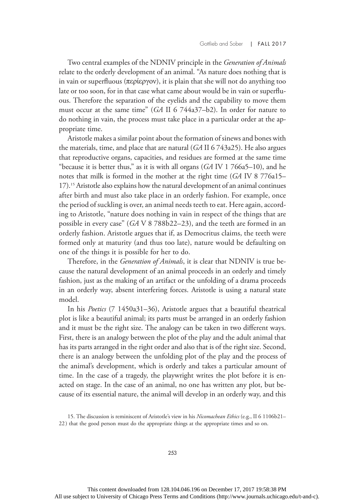Two central examples of the NDNIV principle in the Generation of Animals relate to the orderly development of an animal. "As nature does nothing that is in vain or superfluous (περίεργον), it is plain that she will not do anything too late or too soon, for in that case what came about would be in vain or superfluous. Therefore the separation of the eyelids and the capability to move them must occur at the same time" (GA II 6 744a37–b2). In order for nature to do nothing in vain, the process must take place in a particular order at the appropriate time.

Aristotle makes a similar point about the formation of sinews and bones with the materials, time, and place that are natural (GA II 6 743a25). He also argues that reproductive organs, capacities, and residues are formed at the same time "because it is better thus," as it is with all organs  $(GA IV 1 766a5-10)$ , and he notes that milk is formed in the mother at the right time (GA IV 8 776a15– 17).15 Aristotle also explains how the natural development of an animal continues after birth and must also take place in an orderly fashion. For example, once the period of suckling is over, an animal needs teeth to eat. Here again, according to Aristotle, "nature does nothing in vain in respect of the things that are possible in every case" (GA V 8 788b22–23), and the teeth are formed in an orderly fashion. Aristotle argues that if, as Democritus claims, the teeth were formed only at maturity (and thus too late), nature would be defaulting on one of the things it is possible for her to do.

Therefore, in the *Generation of Animals*, it is clear that NDNIV is true because the natural development of an animal proceeds in an orderly and timely fashion, just as the making of an artifact or the unfolding of a drama proceeds in an orderly way, absent interfering forces. Aristotle is using a natural state model.

In his Poetics (7 1450a31–36), Aristotle argues that a beautiful theatrical plot is like a beautiful animal; its parts must be arranged in an orderly fashion and it must be the right size. The analogy can be taken in two different ways. First, there is an analogy between the plot of the play and the adult animal that has its parts arranged in the right order and also that is of the right size. Second, there is an analogy between the unfolding plot of the play and the process of the animal's development, which is orderly and takes a particular amount of time. In the case of a tragedy, the playwright writes the plot before it is enacted on stage. In the case of an animal, no one has written any plot, but because of its essential nature, the animal will develop in an orderly way, and this

<sup>15.</sup> The discussion is reminiscent of Aristotle's view in his Nicomachean Ethics (e.g., II 6 1106b21-22 ) that the good person must do the appropriate things at the appropriate times and so on.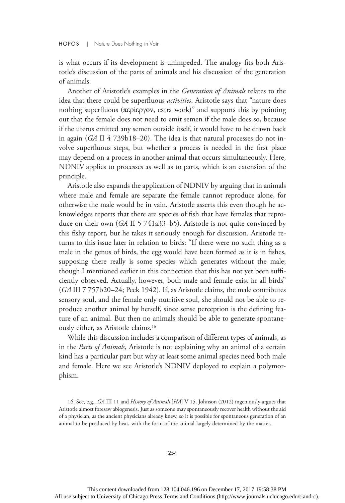is what occurs if its development is unimpeded. The analogy fits both Aristotle's discussion of the parts of animals and his discussion of the generation of animals.

Another of Aristotle's examples in the *Generation of Animals* relates to the idea that there could be superfluous *activities*. Aristotle says that "nature does nothing superfluous (περίεργον, extra work)" and supports this by pointing out that the female does not need to emit semen if the male does so, because if the uterus emitted any semen outside itself, it would have to be drawn back in again (GA II 4 739b18–20). The idea is that natural processes do not involve superfluous steps, but whether a process is needed in the first place may depend on a process in another animal that occurs simultaneously. Here, NDNIV applies to processes as well as to parts, which is an extension of the principle.

Aristotle also expands the application of NDNIV by arguing that in animals where male and female are separate the female cannot reproduce alone, for otherwise the male would be in vain. Aristotle asserts this even though he acknowledges reports that there are species of fish that have females that reproduce on their own (GA II 5 741a33–b5). Aristotle is not quite convinced by this fishy report, but he takes it seriously enough for discussion. Aristotle returns to this issue later in relation to birds: "If there were no such thing as a male in the genus of birds, the egg would have been formed as it is in fishes, supposing there really is some species which generates without the male; though I mentioned earlier in this connection that this has not yet been sufficiently observed. Actually, however, both male and female exist in all birds" (GA III 7 757b20–24; Peck 1942). If, as Aristotle claims, the male contributes sensory soul, and the female only nutritive soul, she should not be able to reproduce another animal by herself, since sense perception is the defining feature of an animal. But then no animals should be able to generate spontaneously either, as Aristotle claims.16

While this discussion includes a comparison of different types of animals, as in the Parts of Animals, Aristotle is not explaining why an animal of a certain kind has a particular part but why at least some animal species need both male and female. Here we see Aristotle's NDNIV deployed to explain a polymorphism.

<sup>16.</sup> See, e.g., GA III 11 and History of Animals [HA] V 15. Johnson (2012) ingeniously argues that Aristotle almost foresaw abiogenesis. Just as someone may spontaneously recover health without the aid of a physician, as the ancient physicians already knew, so it is possible for spontaneous generation of an animal to be produced by heat, with the form of the animal largely determined by the matter.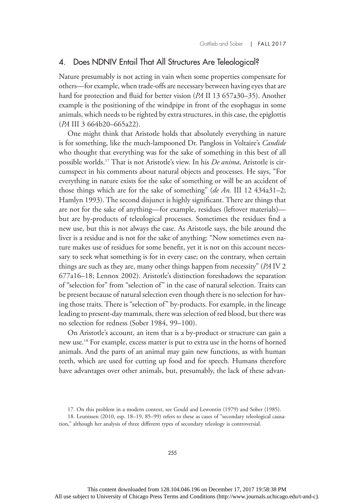### 4. Does NDNIV Entail That All Structures Are Teleological?

Nature presumably is not acting in vain when some properties compensate for others—for example, when trade-offs are necessary between having eyes that are hard for protection and fluid for better vision (PA II 13 657a30–35). Another example is the positioning of the windpipe in front of the esophagus in some animals, which needs to be righted by extra structures, in this case, the epiglottis (PA III 3 664b20–665a22).

One might think that Aristotle holds that absolutely everything in nature is for something, like the much-lampooned Dr. Pangloss in Voltaire's Candide who thought that everything was for the sake of something in this best of all possible worlds.17 That is not Aristotle's view. In his De anima, Aristotle is circumspect in his comments about natural objects and processes. He says, "For everything in nature exists for the sake of something or will be an accident of those things which are for the sake of something" (de An. III 12 434a31-2; Hamlyn 1993). The second disjunct is highly significant. There are things that are not for the sake of anything—for example, residues (leftover materials) but are by-products of teleological processes. Sometimes the residues find a new use, but this is not always the case. As Aristotle says, the bile around the liver is a residue and is not for the sake of anything: "Now sometimes even nature makes use of residues for some benefit, yet it is not on this account necessary to seek what something is for in every case; on the contrary, when certain things are such as they are, many other things happen from necessity" (PA IV 2 677a16–18; Lennox 2002). Aristotle's distinction foreshadows the separation of "selection for" from "selection of" in the case of natural selection. Traits can be present because of natural selection even though there is no selection for having those traits. There is "selection of" by-products. For example, in the lineage leading to present-day mammals, there was selection of red blood, but there was no selection for redness (Sober 1984, 99–100).

On Aristotle's account, an item that is a by-product or structure can gain a new use.18 For example, excess matter is put to extra use in the horns of horned animals. And the parts of an animal may gain new functions, as with human teeth, which are used for cutting up food and for speech. Humans therefore have advantages over other animals, but, presumably, the lack of these advan-

<sup>17.</sup> On this problem in a modern context, see Gould and Lewontin (1979) and Sober (1985).

<sup>18.</sup> Leunissen (2010, esp. 18–19, 85–99) refers to these as cases of "secondary teleological causa-

tion," although her analysis of three different types of secondary teleology is controversial.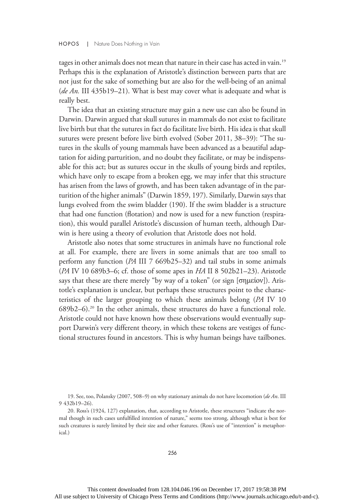tages in other animals does not mean that nature in their case has acted in vain.19 Perhaps this is the explanation of Aristotle's distinction between parts that are not just for the sake of something but are also for the well-being of an animal (de An. III 435b19–21). What is best may cover what is adequate and what is really best.

The idea that an existing structure may gain a new use can also be found in Darwin. Darwin argued that skull sutures in mammals do not exist to facilitate live birth but that the sutures in fact do facilitate live birth. His idea is that skull sutures were present before live birth evolved (Sober 2011, 38–39): "The sutures in the skulls of young mammals have been advanced as a beautiful adaptation for aiding parturition, and no doubt they facilitate, or may be indispensable for this act; but as sutures occur in the skulls of young birds and reptiles, which have only to escape from a broken egg, we may infer that this structure has arisen from the laws of growth, and has been taken advantage of in the parturition of the higher animals"(Darwin 1859, 197). Similarly, Darwin says that lungs evolved from the swim bladder (190). If the swim bladder is a structure that had one function (flotation) and now is used for a new function (respiration), this would parallel Aristotle's discussion of human teeth, although Darwin is here using a theory of evolution that Aristotle does not hold.

Aristotle also notes that some structures in animals have no functional role at all. For example, there are livers in some animals that are too small to perform any function (PA III 7 669b25–32) and tail stubs in some animals (PA IV 10 689b3–6; cf. those of some apes in HA II 8 502b21–23). Aristotle says that these are there merely "by way of a token" (or sign [σημείον]). Aristotle's explanation is unclear, but perhaps these structures point to the characteristics of the larger grouping to which these animals belong (PA IV 10 689b2–6).20 In the other animals, these structures do have a functional role. Aristotle could not have known how these observations would eventually support Darwin's very different theory, in which these tokens are vestiges of functional structures found in ancestors. This is why human beings have tailbones.

<sup>19.</sup> See, too, Polansky (2007, 508-9) on why stationary animals do not have locomotion (de An. III 9 432b19–26).

<sup>20.</sup> Ross's (1924, 127) explanation, that, according to Aristotle, these structures "indicate the normal though in such cases unfulfilled intention of nature," seems too strong, although what is best for such creatures is surely limited by their size and other features. (Ross's use of "intention" is metaphorical.)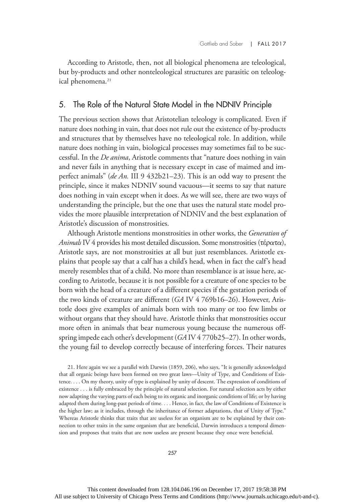According to Aristotle, then, not all biological phenomena are teleological, but by-products and other nonteleological structures are parasitic on teleological phenomena.<sup>21</sup>

# 5. The Role of the Natural State Model in the NDNIV Principle

The previous section shows that Aristotelian teleology is complicated. Even if nature does nothing in vain, that does not rule out the existence of by-products and structures that by themselves have no teleological role. In addition, while nature does nothing in vain, biological processes may sometimes fail to be successful. In the De anima, Aristotle comments that "nature does nothing in vain and never fails in anything that is necessary except in case of maimed and imperfect animals" (de An. III 9 432b21–23). This is an odd way to present the principle, since it makes NDNIV sound vacuous—it seems to say that nature does nothing in vain except when it does. As we will see, there are two ways of understanding the principle, but the one that uses the natural state model provides the more plausible interpretation of NDNIV and the best explanation of Aristotle's discussion of monstrosities.

Although Aristotle mentions monstrosities in other works, the Generation of Animals IV 4 provides his most detailed discussion. Some monstrosities (τέρατα), Aristotle says, are not monstrosities at all but just resemblances. Aristotle explains that people say that a calf has a child's head, when in fact the calf's head merely resembles that of a child. No more than resemblance is at issue here, according to Aristotle, because it is not possible for a creature of one species to be born with the head of a creature of a different species if the gestation periods of the two kinds of creature are different (GA IV 4 769b16–26). However, Aristotle does give examples of animals born with too many or too few limbs or without organs that they should have. Aristotle thinks that monstrosities occur more often in animals that bear numerous young because the numerous offspring impede each other's development (GA IV 4 770b25–27). In other words, the young fail to develop correctly because of interfering forces. Their natures

21. Here again we see a parallel with Darwin (1859, 206), who says, "It is generally acknowledged that all organic beings have been formed on two great laws—Unity of Type, and Conditions of Existence... . On my theory, unity of type is explained by unity of descent. The expression of conditions of existence ... is fully embraced by the principle of natural selection. For natural selection acts by either now adapting the varying parts of each being to its organic and inorganic conditions of life; or by having adapted them during long-past periods of time... . Hence, in fact, the law of Conditions of Existence is the higher law; as it includes, through the inheritance of former adaptations, that of Unity of Type." Whereas Aristotle thinks that traits that are useless for an organism are to be explained by their connection to other traits in the same organism that are beneficial, Darwin introduces a temporal dimension and proposes that traits that are now useless are present because they once were beneficial.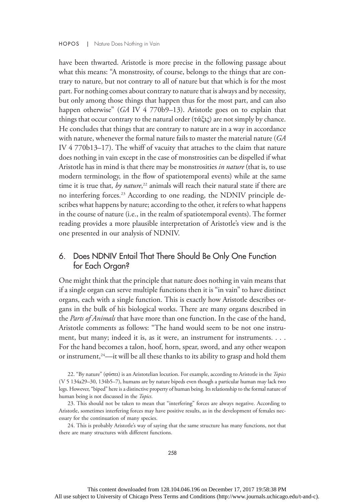have been thwarted. Aristotle is more precise in the following passage about what this means: "A monstrosity, of course, belongs to the things that are contrary to nature, but not contrary to all of nature but that which is for the most part. For nothing comes about contrary to nature that is always and by necessity, but only among those things that happen thus for the most part, and can also happen otherwise" (GA IV 4 770b9-13). Aristotle goes on to explain that things that occur contrary to the natural order (τάξις) are not simply by chance. He concludes that things that are contrary to nature are in a way in accordance with nature, whenever the formal nature fails to master the material nature (GA IV 4 770b13–17). The whiff of vacuity that attaches to the claim that nature does nothing in vain except in the case of monstrosities can be dispelled if what Aristotle has in mind is that there may be monstrosities in nature (that is, to use modern terminology, in the flow of spatiotemporal events) while at the same time it is true that, by nature,<sup>22</sup> animals will reach their natural state if there are no interfering forces.<sup>23</sup> According to one reading, the NDNIV principle describes what happens by nature; according to the other, it refers to what happens in the course of nature (i.e., in the realm of spatiotemporal events). The former reading provides a more plausible interpretation of Aristotle's view and is the one presented in our analysis of NDNIV.

#### 6. Does NDNIV Entail That There Should Be Only One Function for Each Organ?

One might think that the principle that nature does nothing in vain means that if a single organ can serve multiple functions then it is "in vain" to have distinct organs, each with a single function. This is exactly how Aristotle describes organs in the bulk of his biological works. There are many organs described in the Parts of Animals that have more than one function. In the case of the hand, Aristotle comments as follows: "The hand would seem to be not one instrument, but many; indeed it is, as it were, an instrument for instruments. . . . For the hand becomes a talon, hoof, horn, spear, sword, and any other weapon or instrument,<sup>24</sup>—it will be all these thanks to its ability to grasp and hold them

24. This is probably Aristotle's way of saying that the same structure has many functions, not that there are many structures with different functions.

<sup>22.</sup> "By nature" (φύσει) is an Aristotelian locution. For example, according to Aristotle in the Topics (V 5 134a29–30, 134b5–7), humans are by nature bipeds even though a particular human may lack two legs. However,"biped" here is a distinctive property of human being. Its relationship to the formal nature of human being is not discussed in the Topics.

<sup>23.</sup> This should not be taken to mean that "interfering" forces are always negative. According to Aristotle, sometimes interfering forces may have positive results, as in the development of females necessary for the continuation of many species.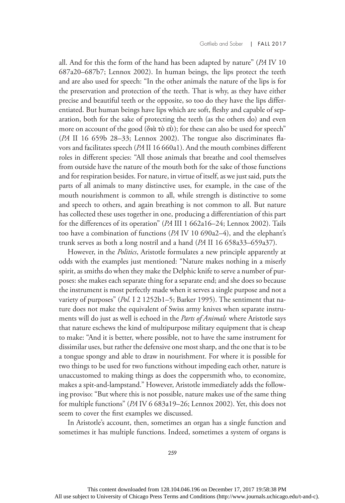all. And for this the form of the hand has been adapted by nature" (PA IV 10 687a20–687b7; Lennox 2002). In human beings, the lips protect the teeth and are also used for speech: "In the other animals the nature of the lips is for the preservation and protection of the teeth. That is why, as they have either precise and beautiful teeth or the opposite, so too do they have the lips differentiated. But human beings have lips which are soft, fleshy and capable of separation, both for the sake of protecting the teeth (as the others do) and even more on account of the good (διὰ τὸ εὺ); for these can also be used for speech" (PA II 16 659b 28–33; Lennox 2002). The tongue also discriminates flavors and facilitates speech (PA II 16 660a1). And the mouth combines different roles in different species: "All those animals that breathe and cool themselves from outside have the nature of the mouth both for the sake of those functions and for respiration besides. For nature, in virtue of itself, as we just said, puts the parts of all animals to many distinctive uses, for example, in the case of the mouth nourishment is common to all, while strength is distinctive to some and speech to others, and again breathing is not common to all. But nature has collected these uses together in one, producing a differentiation of this part for the differences of its operation" (PA III 1 662a16–24; Lennox 2002). Tails too have a combination of functions (PA IV 10 690a2–4), and the elephant's trunk serves as both a long nostril and a hand (PA II 16 658a33–659a37).

However, in the *Politics*, Aristotle formulates a new principle apparently at odds with the examples just mentioned: "Nature makes nothing in a miserly spirit, as smiths do when they make the Delphic knife to serve a number of purposes: she makes each separate thing for a separate end; and she does so because the instrument is most perfectly made when it serves a single purpose and not a variety of purposes" (Pol. I 2 1252b1-5; Barker 1995). The sentiment that nature does not make the equivalent of Swiss army knives when separate instruments will do just as well is echoed in the Parts of Animals where Aristotle says that nature eschews the kind of multipurpose military equipment that is cheap to make: "And it is better, where possible, not to have the same instrument for dissimilar uses, but rather the defensive one most sharp, and the one that is to be a tongue spongy and able to draw in nourishment. For where it is possible for two things to be used for two functions without impeding each other, nature is unaccustomed to making things as does the coppersmith who, to economize, makes a spit-and-lampstand." However, Aristotle immediately adds the following proviso: "But where this is not possible, nature makes use of the same thing for multiple functions" (PA IV 6 683a19–26; Lennox 2002). Yet, this does not seem to cover the first examples we discussed.

In Aristotle's account, then, sometimes an organ has a single function and sometimes it has multiple functions. Indeed, sometimes a system of organs is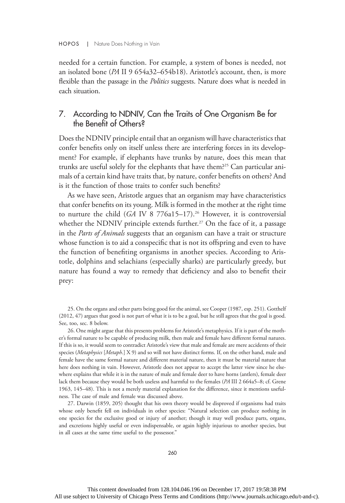needed for a certain function. For example, a system of bones is needed, not an isolated bone (PA II 9 654a32–654b18). Aristotle's account, then, is more flexible than the passage in the *Politics* suggests. Nature does what is needed in each situation.

# 7. According to NDNIV, Can the Traits of One Organism Be for the Benefit of Others?

Does the NDNIV principle entail that an organism will have characteristics that confer benefits only on itself unless there are interfering forces in its development? For example, if elephants have trunks by nature, does this mean that trunks are useful solely for the elephants that have them?25 Can particular animals of a certain kind have traits that, by nature, confer benefits on others? And is it the function of those traits to confer such benefits?

As we have seen, Aristotle argues that an organism may have characteristics that confer benefits on its young. Milk is formed in the mother at the right time to nurture the child  $(GA IV 8 776a15-17).<sup>26</sup>$  However, it is controversial whether the NDNIV principle extends further.<sup>27</sup> On the face of it, a passage in the Parts of Animals suggests that an organism can have a trait or structure whose function is to aid a conspecific that is not its offspring and even to have the function of benefiting organisms in another species. According to Aristotle, dolphins and selachians (especially sharks) are particularly greedy, but nature has found a way to remedy that deficiency and also to benefit their prey:

25. On the organs and other parts being good for the animal, see Cooper (1987, esp. 251). Gotthelf (2012, 47) argues that good is not part of what it is to be a goal, but he still agrees that the goal is good. See, too, sec. 8 below.

26. One might argue that this presents problems for Aristotle's metaphysics. If it is part of the mother's formal nature to be capable of producing milk, then male and female have different formal natures. If this is so, it would seem to contradict Aristotle's view that male and female are mere accidents of their species (Metaphysics [Metaph.] X 9) and so will not have distinct forms. If, on the other hand, male and female have the same formal nature and different material nature, then it must be material nature that here does nothing in vain. However, Aristotle does not appear to accept the latter view since he elsewhere explains that while it is in the nature of male and female deer to have horns (antlers), female deer lack them because they would be both useless and harmful to the females (PA III 2 664a5–8; cf. Grene 1963, 145–48). This is not a merely material explanation for the difference, since it mentions usefulness. The case of male and female was discussed above.

27. Darwin (1859, 205) thought that his own theory would be disproved if organisms had traits whose only benefit fell on individuals in other species: "Natural selection can produce nothing in one species for the exclusive good or injury of another; though it may well produce parts, organs, and excretions highly useful or even indispensable, or again highly injurious to another species, but in all cases at the same time useful to the possessor."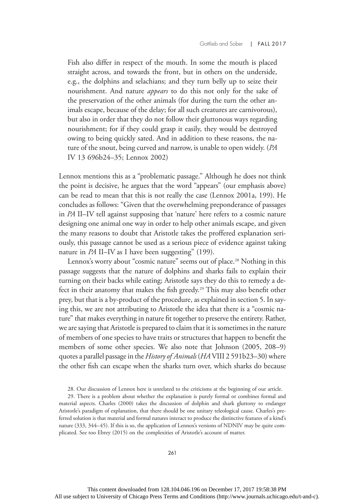Fish also differ in respect of the mouth. In some the mouth is placed straight across, and towards the front, but in others on the underside, e.g., the dolphins and selachians; and they turn belly up to seize their nourishment. And nature *appears* to do this not only for the sake of the preservation of the other animals (for during the turn the other animals escape, because of the delay; for all such creatures are carnivorous), but also in order that they do not follow their gluttonous ways regarding nourishment; for if they could grasp it easily, they would be destroyed owing to being quickly sated. And in addition to these reasons, the nature of the snout, being curved and narrow, is unable to open widely. (PA IV 13 696b24–35; Lennox 2002)

Lennox mentions this as a "problematic passage." Although he does not think the point is decisive, he argues that the word "appears" (our emphasis above) can be read to mean that this is not really the case (Lennox 2001a, 199). He concludes as follows: "Given that the overwhelming preponderance of passages in PA II–IV tell against supposing that 'nature' here refers to a cosmic nature designing one animal one way in order to help other animals escape, and given the many reasons to doubt that Aristotle takes the proffered explanation seriously, this passage cannot be used as a serious piece of evidence against taking nature in *PA* II–IV as I have been suggesting" (199).

Lennox's worry about "cosmic nature" seems out of place.<sup>28</sup> Nothing in this passage suggests that the nature of dolphins and sharks fails to explain their turning on their backs while eating; Aristotle says they do this to remedy a defect in their anatomy that makes the fish greedy.<sup>29</sup> This may also benefit other prey, but that is a by-product of the procedure, as explained in section 5. In saying this, we are not attributing to Aristotle the idea that there is a "cosmic nature" that makes everything in nature fit together to preserve the entirety. Rather, we are saying that Aristotle is prepared to claim that it is sometimes in the nature of members of one species to have traits or structures that happen to benefit the members of some other species. We also note that Johnson (2005, 208–9) quotes a parallel passage in the History of Animals (HA VIII 2 591b23-30) where the other fish can escape when the sharks turn over, which sharks do because

<sup>28.</sup> Our discussion of Lennox here is unrelated to the criticisms at the beginning of our article.

<sup>29.</sup> There is a problem about whether the explanation is purely formal or combines formal and material aspects. Charles (2000) takes the discussion of dolphin and shark gluttony to endanger Aristotle's paradigm of explanation, that there should be one unitary teleological cause. Charles's preferred solution is that material and formal natures interact to produce the distinctive features of a kind's nature (333, 344–45). If this is so, the application of Lennox's versions of NDNIV may be quite complicated. See too Ebrey (2015) on the complexities of Aristotle's account of matter.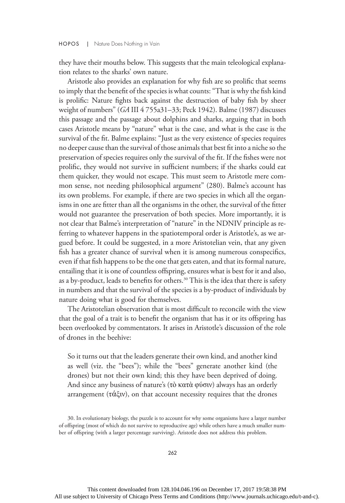they have their mouths below. This suggests that the main teleological explanation relates to the sharks' own nature.

Aristotle also provides an explanation for why fish are so prolific that seems to imply that the benefit of the species is what counts:"That is why the fish kind is prolific: Nature fights back against the destruction of baby fish by sheer weight of numbers" (GA III 4 755a31–33; Peck 1942). Balme (1987) discusses this passage and the passage about dolphins and sharks, arguing that in both cases Aristotle means by "nature" what is the case, and what is the case is the survival of the fit. Balme explains: "Just as the very existence of species requires no deeper cause than the survival of those animals that best fit into a niche so the preservation of species requires only the survival of the fit. If the fishes were not prolific, they would not survive in sufficient numbers; if the sharks could eat them quicker, they would not escape. This must seem to Aristotle mere common sense, not needing philosophical argument" (280). Balme's account has its own problems. For example, if there are two species in which all the organisms in one are fitter than all the organisms in the other, the survival of the fitter would not guarantee the preservation of both species. More importantly, it is not clear that Balme's interpretation of "nature" in the NDNIV principle as referring to whatever happens in the spatiotemporal order is Aristotle's, as we argued before. It could be suggested, in a more Aristotelian vein, that any given fish has a greater chance of survival when it is among numerous conspecifics, even if that fish happens to be the one that gets eaten, and that its formal nature, entailing that it is one of countless offspring, ensures what is best for it and also, as a by-product, leads to benefits for others.<sup>30</sup> This is the idea that there is safety in numbers and that the survival of the species is a by-product of individuals by nature doing what is good for themselves.

The Aristotelian observation that is most difficult to reconcile with the view that the goal of a trait is to benefit the organism that has it or its offspring has been overlooked by commentators. It arises in Aristotle's discussion of the role of drones in the beehive:

So it turns out that the leaders generate their own kind, and another kind as well (viz. the "bees"); while the "bees" generate another kind (the drones) but not their own kind; this they have been deprived of doing. And since any business of nature's (τὸ κατὰ φύσιν) always has an orderly arrangement (τάξιν), on that account necessity requires that the drones

<sup>30.</sup> In evolutionary biology, the puzzle is to account for why some organisms have a larger number of offspring (most of which do not survive to reproductive age) while others have a much smaller number of offspring (with a larger percentage surviving). Aristotle does not address this problem.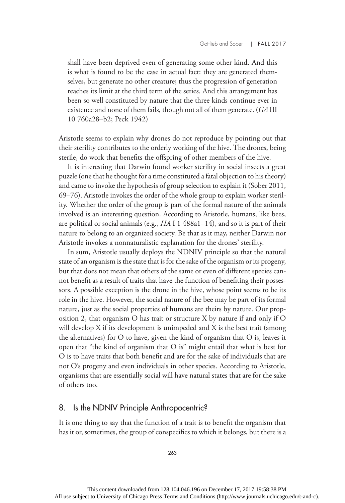shall have been deprived even of generating some other kind. And this is what is found to be the case in actual fact: they are generated themselves, but generate no other creature; thus the progression of generation reaches its limit at the third term of the series. And this arrangement has been so well constituted by nature that the three kinds continue ever in existence and none of them fails, though not all of them generate. (GA III 10 760a28–b2; Peck 1942)

Aristotle seems to explain why drones do not reproduce by pointing out that their sterility contributes to the orderly working of the hive. The drones, being sterile, do work that benefits the offspring of other members of the hive.

It is interesting that Darwin found worker sterility in social insects a great puzzle (one that he thought for a time constituted a fatal objection to his theory) and came to invoke the hypothesis of group selection to explain it (Sober 2011, 69–76). Aristotle invokes the order of the whole group to explain worker sterility. Whether the order of the group is part of the formal nature of the animals involved is an interesting question. According to Aristotle, humans, like bees, are political or social animals (e.g., HA I 1 488a1–14), and so it is part of their nature to belong to an organized society. Be that as it may, neither Darwin nor Aristotle invokes a nonnaturalistic explanation for the drones' sterility.

In sum, Aristotle usually deploys the NDNIV principle so that the natural state of an organism is the state that is for the sake of the organism or its progeny, but that does not mean that others of the same or even of different species cannot benefit as a result of traits that have the function of benefiting their possessors. A possible exception is the drone in the hive, whose point seems to be its role in the hive. However, the social nature of the bee may be part of its formal nature, just as the social properties of humans are theirs by nature. Our proposition 2, that organism O has trait or structure X by nature if and only if O will develop X if its development is unimpeded and X is the best trait (among the alternatives) for O to have, given the kind of organism that O is, leaves it open that "the kind of organism that O is" might entail that what is best for O is to have traits that both benefit and are for the sake of individuals that are not O's progeny and even individuals in other species. According to Aristotle, organisms that are essentially social will have natural states that are for the sake of others too.

#### 8. Is the NDNIV Principle Anthropocentric?

It is one thing to say that the function of a trait is to benefit the organism that has it or, sometimes, the group of conspecifics to which it belongs, but there is a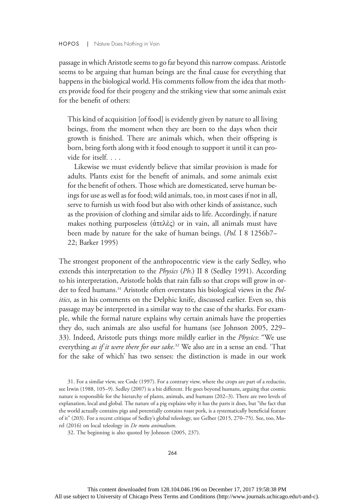passage in which Aristotle seems to go far beyond this narrow compass. Aristotle seems to be arguing that human beings are the final cause for everything that happens in the biological world. His comments follow from the idea that mothers provide food for their progeny and the striking view that some animals exist for the benefit of others:

This kind of acquisition [of food] is evidently given by nature to all living beings, from the moment when they are born to the days when their growth is finished. There are animals which, when their offspring is born, bring forth along with it food enough to support it until it can provide for itself... .

Likewise we must evidently believe that similar provision is made for adults. Plants exist for the benefit of animals, and some animals exist for the benefit of others. Those which are domesticated, serve human beings for use as well as for food; wild animals, too, in most cases if not in all, serve to furnish us with food but also with other kinds of assistance, such as the provision of clothing and similar aids to life. Accordingly, if nature makes nothing purposeless (άτελὲς) or in vain, all animals must have been made by nature for the sake of human beings. (Pol. I 8 1256b7– 22; Barker 1995)

The strongest proponent of the anthropocentric view is the early Sedley, who extends this interpretation to the *Physics* (Ph.) II 8 (Sedley 1991). According to his interpretation, Aristotle holds that rain falls so that crops will grow in order to feed humans.<sup>31</sup> Aristotle often overstates his biological views in the Politics, as in his comments on the Delphic knife, discussed earlier. Even so, this passage may be interpreted in a similar way to the case of the sharks. For example, while the formal nature explains why certain animals have the properties they do, such animals are also useful for humans (see Johnson 2005, 229– 33). Indeed, Aristotle puts things more mildly earlier in the Physics: "We use everything *as if it were there for our sake*.<sup>32</sup> We also are in a sense an end. 'That for the sake of which' has two senses: the distinction is made in our work

32. The beginning is also quoted by Johnson (2005, 237).

<sup>31.</sup> For a similar view, see Code (1997). For a contrary view, where the crops are part of a reductio, see Irwin (1988, 105–9). Sedley (2007) is a bit different. He goes beyond humans, arguing that cosmic nature is responsible for the hierarchy of plants, animals, and humans (202–3). There are two levels of explanation, local and global. The nature of a pig explains why it has the parts it does, but "the fact that the world actually contains pigs and potentially contains roast pork, is a systematically beneficial feature of it" (203). For a recent critique of Sedley's global teleology, see Gelber (2015, 270–75). See, too, Morel (2016) on local teleology in De motu animalium.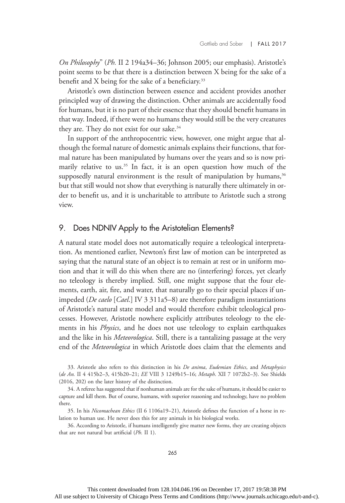On Philosophy" (Ph. II 2 194a34–36; Johnson 2005; our emphasis). Aristotle's point seems to be that there is a distinction between X being for the sake of a benefit and X being for the sake of a beneficiary.<sup>33</sup>

Aristotle's own distinction between essence and accident provides another principled way of drawing the distinction. Other animals are accidentally food for humans, but it is no part of their essence that they should benefit humans in that way. Indeed, if there were no humans they would still be the very creatures they are. They do not exist for our sake.<sup>34</sup>

In support of the anthropocentric view, however, one might argue that although the formal nature of domestic animals explains their functions, that formal nature has been manipulated by humans over the years and so is now primarily relative to us.<sup>35</sup> In fact, it is an open question how much of the supposedly natural environment is the result of manipulation by humans,  $36$ but that still would not show that everything is naturally there ultimately in order to benefit us, and it is uncharitable to attribute to Aristotle such a strong view.

#### 9. Does NDNIV Apply to the Aristotelian Elements?

A natural state model does not automatically require a teleological interpretation. As mentioned earlier, Newton's first law of motion can be interpreted as saying that the natural state of an object is to remain at rest or in uniform motion and that it will do this when there are no (interfering) forces, yet clearly no teleology is thereby implied. Still, one might suppose that the four elements, earth, air, fire, and water, that naturally go to their special places if unimpeded (De caelo [Cael.] IV 3 311a5–8) are therefore paradigm instantiations of Aristotle's natural state model and would therefore exhibit teleological processes. However, Aristotle nowhere explicitly attributes teleology to the elements in his Physics, and he does not use teleology to explain earthquakes and the like in his Meteorologica. Still, there is a tantalizing passage at the very end of the Meteorologica in which Aristotle does claim that the elements and

33. Aristotle also refers to this distinction in his De anima, Eudemian Ethics, and Metaphysics (de An. II 4 415b2–3, 415b20–21; EE VIII 3 1249b15–16; Metaph. XII 7 1072b2–3). See Shields (2016, 202) on the later history of the distinction.

35. In his Nicomachean Ethics (II 6 1106a19–21), Aristotle defines the function of a horse in relation to human use. He never does this for any animals in his biological works.

36. According to Aristotle, if humans intelligently give matter new forms, they are creating objects that are not natural but artificial (Ph. II 1).

<sup>34.</sup> A referee has suggested that if nonhuman animals are for the sake of humans, it should be easier to capture and kill them. But of course, humans, with superior reasoning and technology, have no problem there.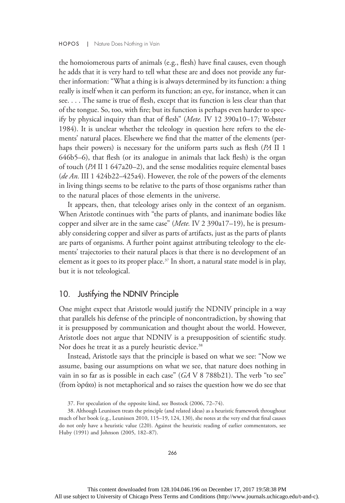the homoiomerous parts of animals (e.g., flesh) have final causes, even though he adds that it is very hard to tell what these are and does not provide any further information: "What a thing is is always determined by its function: a thing really is itself when it can perform its function; an eye, for instance, when it can see... . The same is true of flesh, except that its function is less clear than that of the tongue. So, too, with fire; but its function is perhaps even harder to specify by physical inquiry than that of flesh" (Mete. IV 12 390a10–17; Webster 1984). It is unclear whether the teleology in question here refers to the elements' natural places. Elsewhere we find that the matter of the elements (perhaps their powers) is necessary for the uniform parts such as flesh (PA II 1) 646b5–6), that flesh (or its analogue in animals that lack flesh) is the organ of touch (PA II 1 647a20–2), and the sense modalities require elemental bases (de An. III 1 424b22–425a4). However, the role of the powers of the elements in living things seems to be relative to the parts of those organisms rather than to the natural places of those elements in the universe.

It appears, then, that teleology arises only in the context of an organism. When Aristotle continues with "the parts of plants, and inanimate bodies like copper and silver are in the same case" (Mete. IV 2 390a17–19), he is presumably considering copper and silver as parts of artifacts, just as the parts of plants are parts of organisms. A further point against attributing teleology to the elements' trajectories to their natural places is that there is no development of an element as it goes to its proper place.<sup>37</sup> In short, a natural state model is in play, but it is not teleological.

# 10. Justifying the NDNIV Principle

One might expect that Aristotle would justify the NDNIV principle in a way that parallels his defense of the principle of noncontradiction, by showing that it is presupposed by communication and thought about the world. However, Aristotle does not argue that NDNIV is a presupposition of scientific study. Nor does he treat it as a purely heuristic device.<sup>38</sup>

Instead, Aristotle says that the principle is based on what we see: "Now we assume, basing our assumptions on what we see, that nature does nothing in vain in so far as is possible in each case" (GA V 8 788b21). The verb "to see" (from  $\delta \rho \dot{\alpha}$ ) is not metaphorical and so raises the question how we do see that

<sup>37.</sup> For speculation of the opposite kind, see Bostock (2006, 72–74).

<sup>38.</sup> Although Leunissen treats the principle (and related ideas) as a heuristic framework throughout much of her book (e.g., Leunissen 2010, 115–19, 124, 130), she notes at the very end that final causes do not only have a heuristic value (220). Against the heuristic reading of earlier commentators, see Huby (1991) and Johnson (2005, 182–87).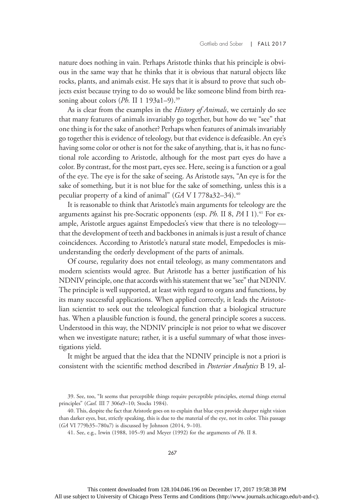nature does nothing in vain. Perhaps Aristotle thinks that his principle is obvious in the same way that he thinks that it is obvious that natural objects like rocks, plants, and animals exist. He says that it is absurd to prove that such objects exist because trying to do so would be like someone blind from birth reasoning about colors ( $Ph$ . II 1 193a1-9).<sup>39</sup>

As is clear from the examples in the History of Animals, we certainly do see that many features of animals invariably go together, but how do we "see" that one thing is for the sake of another? Perhaps when features of animals invariably go together this is evidence of teleology, but that evidence is defeasible. An eye's having some color or other is not for the sake of anything, that is, it has no functional role according to Aristotle, although for the most part eyes do have a color. By contrast, for the most part, eyes see. Here, seeing is a function or a goal of the eye. The eye is for the sake of seeing. As Aristotle says, "An eye is for the sake of something, but it is not blue for the sake of something, unless this is a peculiar property of a kind of animal"  $(GA \vee T778a32-34).$ <sup>40</sup>

It is reasonable to think that Aristotle's main arguments for teleology are the arguments against his pre-Socratic opponents (esp.  $Ph$ . II 8,  $PA$  I 1).<sup>41</sup> For example, Aristotle argues against Empedocles's view that there is no teleology that the development of teeth and backbones in animals is just a result of chance coincidences. According to Aristotle's natural state model, Empedocles is misunderstanding the orderly development of the parts of animals.

Of course, regularity does not entail teleology, as many commentators and modern scientists would agree. But Aristotle has a better justification of his NDNIV principle, one that accords with his statement that we "see" that NDNIV. The principle is well supported, at least with regard to organs and functions, by its many successful applications. When applied correctly, it leads the Aristotelian scientist to seek out the teleological function that a biological structure has. When a plausible function is found, the general principle scores a success. Understood in this way, the NDNIV principle is not prior to what we discover when we investigate nature; rather, it is a useful summary of what those investigations yield.

It might be argued that the idea that the NDNIV principle is not a priori is consistent with the scientific method described in Posterior Analytics B 19, al-

<sup>39.</sup> See, too, "It seems that perceptible things require perceptible principles, eternal things eternal principles" (Cael. III 7 306a9–10; Stocks 1984).

<sup>40.</sup> This, despite the fact that Aristotle goes on to explain that blue eyes provide sharper night vision than darker eyes, but, strictly speaking, this is due to the material of the eye, not its color. This passage (GA VI 779b35–780a7) is discussed by Johnson (2014, 9–10).

<sup>41.</sup> See, e.g., Irwin (1988, 105–9) and Meyer (1992) for the arguments of Ph. II 8.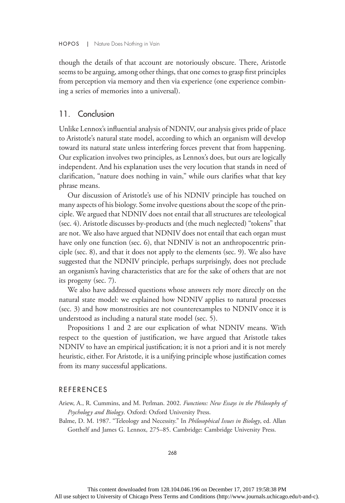though the details of that account are notoriously obscure. There, Aristotle seems to be arguing, among other things, that one comes to grasp first principles from perception via memory and then via experience (one experience combining a series of memories into a universal).

#### 11. Conclusion

Unlike Lennox's influential analysis of NDNIV, our analysis gives pride of place to Aristotle's natural state model, according to which an organism will develop toward its natural state unless interfering forces prevent that from happening. Our explication involves two principles, as Lennox's does, but ours are logically independent. And his explanation uses the very locution that stands in need of clarification, "nature does nothing in vain," while ours clarifies what that key phrase means.

Our discussion of Aristotle's use of his NDNIV principle has touched on many aspects of his biology. Some involve questions about the scope of the principle. We argued that NDNIV does not entail that all structures are teleological (sec. 4). Aristotle discusses by-products and (the much neglected) "tokens" that are not. We also have argued that NDNIV does not entail that each organ must have only one function (sec. 6), that NDNIV is not an anthropocentric principle (sec. 8), and that it does not apply to the elements (sec. 9). We also have suggested that the NDNIV principle, perhaps surprisingly, does not preclude an organism's having characteristics that are for the sake of others that are not its progeny (sec. 7).

We also have addressed questions whose answers rely more directly on the natural state model: we explained how NDNIV applies to natural processes (sec. 3) and how monstrosities are not counterexamples to NDNIV once it is understood as including a natural state model (sec. 5).

Propositions 1 and 2 are our explication of what NDNIV means. With respect to the question of justification, we have argued that Aristotle takes NDNIV to have an empirical justification; it is not a priori and it is not merely heuristic, either. For Aristotle, it is a unifying principle whose justification comes from its many successful applications.

#### **REFERENCES**

- Ariew, A., R. Cummins, and M. Perlman. 2002. Functions: New Essays in the Philosophy of Psychology and Biology. Oxford: Oxford University Press.
- Balme, D. M. 1987. "Teleology and Necessity." In Philosophical Issues in Biology, ed. Allan Gotthelf and James G. Lennox, 275–85. Cambridge: Cambridge University Press.

This content downloaded from 128.104.046.196 on December 17, 2017 19:58:38 PM All use subject to University of Chicago Press Terms and Conditions (http://www.journals.uchicago.edu/t-and-c).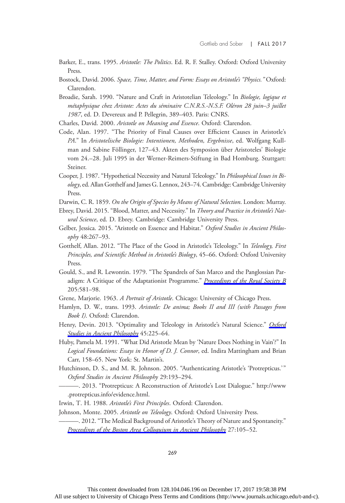- Barker, E., trans. 1995. Aristotle: The Politics. Ed. R. F. Stalley. Oxford: Oxford University Press.
- Bostock, David. 2006. Space, Time, Matter, and Form: Essays on Aristotle's "Physics." Oxford: Clarendon.
- Broadie, Sarah. 1990. "Nature and Craft in Aristotelian Teleology." In Biologie, logique et métaphysique chez Aristote: Actes du séminaire C.N.R.S.-N.S.F. Oléron 28 juin–3 juillet 1987, ed. D. Devereux and P. Pellegrin, 389–403. Paris: CNRS.

Charles, David. 2000. Aristotle on Meaning and Essence. Oxford: Clarendon.

- Code, Alan. 1997. "The Priority of Final Causes over Efficient Causes in Aristotle's PA." In Aristotelische Biologie: Intentionen, Methoden, Ergebnisse, ed. Wolfgang Kullman and Sabine Föllinger, 127–43. Akten des Symposion über Aristoteles' Biologie vom 24.–28. Juli 1995 in der Werner-Reimers-Stiftung in Bad Homburg. Stuttgart: Steiner.
- Cooper, J. 1987. "Hypothetical Necessity and Natural Teleology." In Philosophical Issues in Biology, ed. Allan Gotthelf and James G. Lennox, 243-74. Cambridge: Cambridge University Press.
- Darwin, C. R. 1859. On the Origin of Species by Means of Natural Selection. London: Murray.
- Ebrey, David. 2015. "Blood, Matter, and Necessity." In Theory and Practice in Aristotle's Natural Science, ed. D. Ebrey. Cambridge: Cambridge University Press.
- Gelber, Jessica. 2015. "Aristotle on Essence and Habitat." Oxford Studies in Ancient Philosophy 48:267–93.
- Gotthelf, Allan. 2012. "The Place of the Good in Aristotle's Teleology." In Teleology, First Principles, and Scientific Method in Aristotle's Biology, 45-66. Oxford: Oxford University Press.
- Gould, S., and R. Lewontin. 1979. "The Spandrels of San Marco and the Panglossian Paradigm: A Critique of the Adaptationist Programme." *[Proceedings of the Royal Society B](http://www.journals.uchicago.edu/action/showLinks?doi=10.1086%2F693422&crossref=10.1098%2Frspb.1979.0086&citationId=p_60)* 205:581–98.
- Grene, Marjorie. 1963. A Portrait of Aristotle. Chicago: University of Chicago Press.
- Hamlyn, D. W., trans. 1993. Aristotle: De anima; Books II and III (with Passages from Book I). Oxford: Clarendon.
- Henry, Devin. 2013. "Optimality and Teleology in Aristotle's Natural Science." [Oxford](http://www.journals.uchicago.edu/action/showLinks?doi=10.1086%2F693422&crossref=10.1093%2Facprof%3Aoso%2F9780199679430.003.0007&citationId=p_63) [Studies in Ancient Philosophy](http://www.journals.uchicago.edu/action/showLinks?doi=10.1086%2F693422&crossref=10.1093%2Facprof%3Aoso%2F9780199679430.003.0007&citationId=p_63) 45:225–64.
- Huby, Pamela M. 1991. "What Did Aristotle Mean by 'Nature Does Nothing in Vain'?" In Logical Foundations: Essays in Honor of D. J. Connor, ed. Indira Mattingham and Brian Carr, 158–65. New York: St. Martin's.
- Hutchinson, D. S., and M. R. Johnson. 2005. "Authenticating Aristotle's 'Protrepticus.' " Oxford Studies in Ancient Philosophy 29:193–294.
	- ———. 2013. "Protrepticus: A Reconstruction of Aristotle's Lost Dialogue." http://www .protrepticus.info/evidence.html.

Irwin, T. H. 1988. Aristotle's First Principles. Oxford: Clarendon.

Johnson, Monte. 2005. Aristotle on Teleology. Oxford: Oxford University Press.

———. 2012. "The Medical Background of Aristotle's Theory of Nature and Spontaneity." [Proceedings of the Boston Area Colloquium in Ancient Philosophy](http://www.journals.uchicago.edu/action/showLinks?doi=10.1086%2F693422&crossref=10.1163%2F22134417-90000134&citationId=p_69) 27:105-52.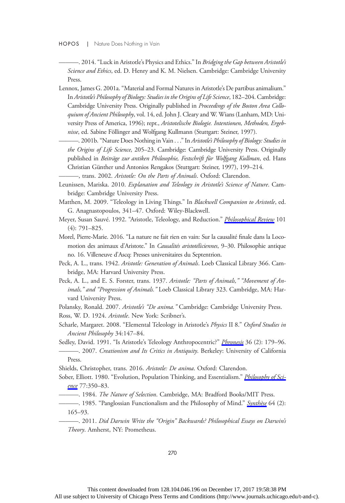HOPOS | Nature Does Nothing in Vain

-. 2014. "Luck in Aristotle's Physics and Ethics." In Bridging the Gap between Aristotle's Science and Ethics, ed. D. Henry and K. M. Nielsen. Cambridge: Cambridge University Press.

- Lennox, James G. 2001a."Material and Formal Natures in Aristotle's De partibus animalium." In Aristotle's Philosophy of Biology: Studies in the Origins of Life Science, 182–204. Cambridge: Cambridge University Press. Originally published in Proceedings of the Boston Area Colloquium of Ancient Philosophy, vol. 14, ed. John J. Cleary and W. Wians (Lanham, MD: University Press of America, 1996); repr., Aristotelische Biologie. Intentionen, Methoden, Ergebnisse, ed. Sabine Föllinger and Wolfgang Kullmann (Stuttgart: Steiner, 1997).
	- -. 2001b. "Nature Does Nothing in Vain . . ." In Aristotle's Philosophy of Biology: Studies in the Origins of Life Science, 205-23. Cambridge: Cambridge University Press. Originally published in Beiträge zur antiken Philosophie, Festschrift für Wolfgang Kullman, ed. Hans Christian Günther und Antonios Rengakos (Stuttgart: Steiner, 1997), 199–214.

- Leunissen, Mariska. 2010. Explanation and Teleology in Aristotle's Science of Nature. Cambridge: Cambridge University Press.
- Matthen, M. 2009. "Teleology in Living Things." In Blackwell Companion to Aristotle, ed. G. Anagnastopoulos, 341–47. Oxford: Wiley-Blackwell.
- Meyer, Susan Sauvé. 1992. "Aristotle, Teleology, and Reduction." *[Philosophical Review](http://www.journals.uchicago.edu/action/showLinks?doi=10.1086%2F693422&crossref=10.2307%2F2185925&citationId=p_76)* 101 (4): 791–825.
- Morel, Pierre-Marie. 2016. "La nature ne fait rien en vain: Sur la causalité finale dans la Locomotion des animaux d'Aristote." In Causalités aristotéliciennes, 9–30. Philosophie antique no. 16. Villeneuve d'Ascq: Presses universitaires du Septentrion.
- Peck, A. L., trans. 1942. Aristotle: Generation of Animals. Loeb Classical Library 366. Cambridge, MA: Harvard University Press.
- Peck, A. L., and E. S. Forster, trans. 1937. Aristotle: "Parts of Animals," "Movement of Animals," and "Progression of Animals." Loeb Classical Library 323. Cambridge, MA: Harvard University Press.
- Polansky, Ronald. 2007. Aristotle's "De anima." Cambridge: Cambridge University Press.

Ross, W. D. 1924. Aristotle. New York: Scribner's.

- Scharle, Margaret. 2008. "Elemental Teleology in Aristotle's Physics II 8." Oxford Studies in Ancient Philosophy 34:147–84.
- Sedley, David. 1991. "Is Aristotle's Teleology Anthropocentric?" *[Phronesis](http://www.journals.uchicago.edu/action/showLinks?doi=10.1086%2F693422&crossref=10.1163%2F156852891321052778&citationId=p_83)* 36 (2): 179-96. <sup>2007</sup>. Creationism and Its Critics in Antiquity. Berkeley: University of California Press.
- Shields, Christopher, trans. 2016. Aristotle: De anima. Oxford: Clarendon.
- Sober, Elliott. 1980. "Evolution, Population Thinking, and Essentialism." *[Philosophy of Sci](http://www.journals.uchicago.edu/action/showLinks?doi=10.1086%2F693422&system=10.1086%2F288942&citationId=p_86)*[ence](http://www.journals.uchicago.edu/action/showLinks?doi=10.1086%2F693422&system=10.1086%2F288942&citationId=p_86) 77:350-83.
	- -. 1984. The Nature of Selection. Cambridge, MA: Bradford Books/MIT Press.
- —–. 1985. "Panglossian Functionalism and the Philosophy of Mind." [Synthèse](http://www.journals.uchicago.edu/action/showLinks?doi=10.1086%2F693422&crossref=10.1007%2FBF00486037&citationId=p_88) 64 (2): 165–93.

———. 2011. Did Darwin Write the "Origin" Backwards? Philosophical Essays on Darwin's Theory. Amherst, NY: Prometheus.

<sup>-,</sup> trans. 2002. Aristotle: On the Parts of Animals. Oxford: Clarendon.